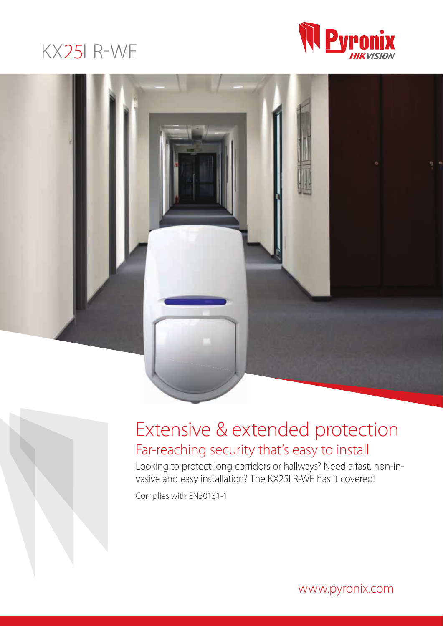





# Extensive & extended protection Far-reaching security that's easy to install

Looking to protect long corridors or hallways? Need a fast, non-invasive and easy installation? The KX25LR-WE has it covered!

Complies with EN50131-1

www.pyronix.com